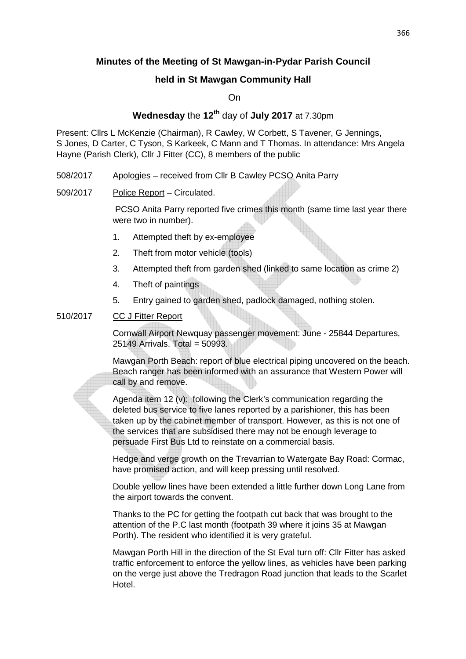# **Minutes of the Meeting of St Mawgan-in-Pydar Parish Council**

# **held in St Mawgan Community Hall**

On

# **Wednesday** the **12th** day of **July 2017** at 7.30pm

Present: Cllrs L McKenzie (Chairman), R Cawley, W Corbett, S Tavener, G Jennings, S Jones, D Carter, C Tyson, S Karkeek, C Mann and T Thomas. In attendance: Mrs Angela Hayne (Parish Clerk), Cllr J Fitter (CC), 8 members of the public

- 508/2017 Apologies received from Cllr B Cawley PCSO Anita Parry
- 509/2017 Police Report Circulated.

 PCSO Anita Parry reported five crimes this month (same time last year there were two in number).

- 1. Attempted theft by ex-employee
- 2. Theft from motor vehicle (tools)
- 3. Attempted theft from garden shed (linked to same location as crime 2)
- 4. Theft of paintings
- 5. Entry gained to garden shed, padlock damaged, nothing stolen.

#### 510/2017 CC J Fitter Report

 Cornwall Airport Newquay passenger movement: June - 25844 Departures, 25149 Arrivals. Total = 50993.

 Mawgan Porth Beach: report of blue electrical piping uncovered on the beach. Beach ranger has been informed with an assurance that Western Power will call by and remove.

 Agenda item 12 (v): following the Clerk's communication regarding the deleted bus service to five lanes reported by a parishioner, this has been taken up by the cabinet member of transport. However, as this is not one of the services that are subsidised there may not be enough leverage to persuade First Bus Ltd to reinstate on a commercial basis.

 Hedge and verge growth on the Trevarrian to Watergate Bay Road: Cormac, have promised action, and will keep pressing until resolved.

Double yellow lines have been extended a little further down Long Lane from the airport towards the convent.

Thanks to the PC for getting the footpath cut back that was brought to the attention of the P.C last month (footpath 39 where it joins 35 at Mawgan Porth). The resident who identified it is very grateful.

Mawgan Porth Hill in the direction of the St Eval turn off: Cllr Fitter has asked traffic enforcement to enforce the yellow lines, as vehicles have been parking on the verge just above the Tredragon Road junction that leads to the Scarlet Hotel.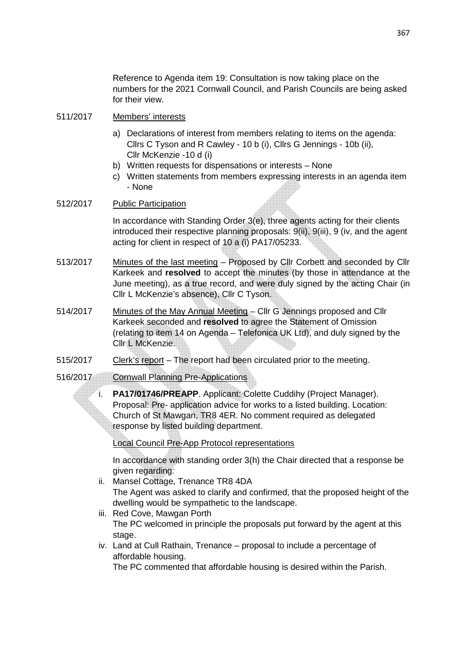Reference to Agenda item 19: Consultation is now taking place on the numbers for the 2021 Cornwall Council, and Parish Councils are being asked for their view.

#### 511/2017 Members' interests

- a) Declarations of interest from members relating to items on the agenda: Cllrs C Tyson and R Cawley - 10 b (i), Cllrs G Jennings - 10b (ii), Cllr McKenzie -10 d (i)
- b) Written requests for dispensations or interests None
- c) Written statements from members expressing interests in an agenda item - None

#### 512/2017 Public Participation

 In accordance with Standing Order 3(e), three agents acting for their clients introduced their respective planning proposals: 9(ii), 9(iii), 9 (iv, and the agent acting for client in respect of 10 a (i) PA17/05233.

- 513/2017 Minutes of the last meeting Proposed by Cllr Corbett and seconded by Cllr Karkeek and **resolved** to accept the minutes (by those in attendance at the June meeting), as a true record, and were duly signed by the acting Chair (in Cllr L McKenzie's absence), Cllr C Tyson.
- 514/2017 Minutes of the May Annual Meeting Cllr G Jennings proposed and Cllr Karkeek seconded and **resolved** to agree the Statement of Omission (relating to item 14 on Agenda – Telefonica UK Ltd), and duly signed by the Cllr L McKenzie.
- 515/2017 Clerk's report The report had been circulated prior to the meeting.
- 516/2017 Cornwall Planning Pre-Applications
	- i. **PA17/01746/PREAPP**. Applicant: Colette Cuddihy (Project Manager). Proposal: Pre- application advice for works to a listed building. Location: Church of St Mawgan, TR8 4ER. No comment required as delegated response by listed building department.

Local Council Pre-App Protocol representations

In accordance with standing order 3(h) the Chair directed that a response be given regarding:

- ii. Mansel Cottage, Trenance TR8 4DA The Agent was asked to clarify and confirmed, that the proposed height of the dwelling would be sympathetic to the landscape.
- iii. Red Cove, Mawgan Porth The PC welcomed in principle the proposals put forward by the agent at this stage.
- iv. Land at Cull Rathain, Trenance proposal to include a percentage of affordable housing.

The PC commented that affordable housing is desired within the Parish.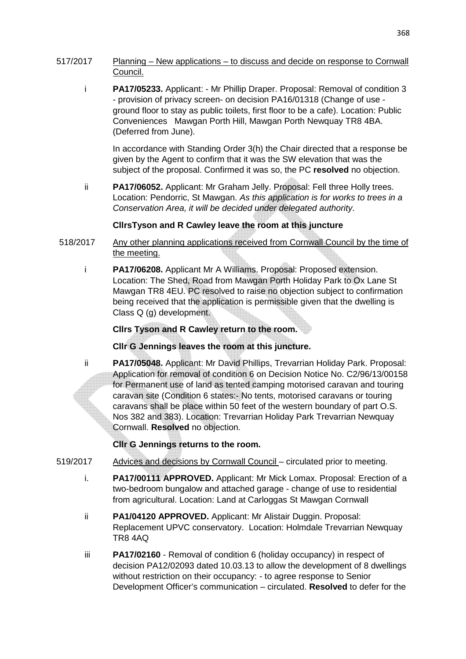- 517/2017 Planning New applications to discuss and decide on response to Cornwall Council.
	- i **PA17/05233.** Applicant: Mr Phillip Draper. Proposal: Removal of condition 3 - provision of privacy screen- on decision PA16/01318 (Change of use ground floor to stay as public toilets, first floor to be a cafe). Location: Public Conveniences Mawgan Porth Hill, Mawgan Porth Newquay TR8 4BA. (Deferred from June).

In accordance with Standing Order 3(h) the Chair directed that a response be given by the Agent to confirm that it was the SW elevation that was the subject of the proposal. Confirmed it was so, the PC **resolved** no objection.

ii **PA17/06052.** Applicant: Mr Graham Jelly. Proposal: Fell three Holly trees. Location: Pendorric, St Mawgan. As this application is for works to trees in a Conservation Area, it will be decided under delegated authority.

#### **CllrsTyson and R Cawley leave the room at this juncture**

- 518/2017 Any other planning applications received from Cornwall Council by the time of the meeting.
	- i **PA17/06208.** Applicant Mr A Williams. Proposal: Proposed extension. Location: The Shed, Road from Mawgan Porth Holiday Park to Ox Lane St Mawgan TR8 4EU. PC resolved to raise no objection subject to confirmation being received that the application is permissible given that the dwelling is Class Q (g) development.

#### **Cllrs Tyson and R Cawley return to the room.**

## **Cllr G Jennings leaves the room at this juncture.**

 ii **PA17/05048.** Applicant: Mr David Phillips, Trevarrian Holiday Park. Proposal: Application for removal of condition 6 on Decision Notice No. C2/96/13/00158 for Permanent use of land as tented camping motorised caravan and touring caravan site (Condition 6 states:- No tents, motorised caravans or touring caravans shall be place within 50 feet of the western boundary of part O.S. Nos 382 and 383). Location: Trevarrian Holiday Park Trevarrian Newquay Cornwall. **Resolved** no objection.

## **Cllr G Jennings returns to the room.**

- 519/2017 Advices and decisions by Cornwall Council circulated prior to meeting.
	- i. **PA17/00111 APPROVED.** Applicant: Mr Mick Lomax. Proposal: Erection of a two-bedroom bungalow and attached garage - change of use to residential from agricultural. Location: Land at Carloggas St Mawgan Cornwall
	- ii **PA1/04120 APPROVED.** Applicant: Mr Alistair Duggin. Proposal: Replacement UPVC conservatory. Location: Holmdale Trevarrian Newquay TR8 4AQ
	- iii **PA17/02160** Removal of condition 6 (holiday occupancy) in respect of decision PA12/02093 dated 10.03.13 to allow the development of 8 dwellings without restriction on their occupancy: - to agree response to Senior Development Officer's communication – circulated. **Resolved** to defer for the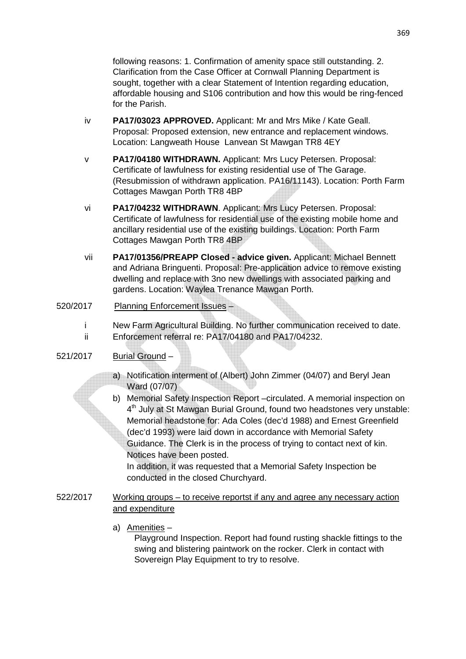following reasons: 1. Confirmation of amenity space still outstanding. 2. Clarification from the Case Officer at Cornwall Planning Department is sought, together with a clear Statement of Intention regarding education, affordable housing and S106 contribution and how this would be ring-fenced for the Parish.

- iv **PA17/03023 APPROVED.** Applicant: Mr and Mrs Mike / Kate Geall. Proposal: Proposed extension, new entrance and replacement windows. Location: Langweath House Lanvean St Mawgan TR8 4EY
- v **PA17/04180 WITHDRAWN.** Applicant: Mrs Lucy Petersen. Proposal: Certificate of lawfulness for existing residential use of The Garage. (Resubmission of withdrawn application. PA16/11143). Location: Porth Farm Cottages Mawgan Porth TR8 4BP
- vi **PA17/04232 WITHDRAWN**. Applicant: Mrs Lucy Petersen. Proposal: Certificate of lawfulness for residential use of the existing mobile home and ancillary residential use of the existing buildings. Location: Porth Farm Cottages Mawgan Porth TR8 4BP
- vii **PA17/01356/PREAPP Closed advice given.** Applicant: Michael Bennett and Adriana Bringuenti. Proposal: Pre-application advice to remove existing dwelling and replace with 3no new dwellings with associated parking and gardens. Location: Waylea Trenance Mawgan Porth.

## 520/2017 Planning Enforcement Issues –

- i New Farm Agricultural Building. No further communication received to date.
- ii Enforcement referral re: PA17/04180 and PA17/04232.

## 521/2017 Burial Ground –

- a) Notification interment of (Albert) John Zimmer (04/07) and Beryl Jean Ward (07/07)
- b) Memorial Safety Inspection Report –circulated. A memorial inspection on 4<sup>th</sup> July at St Mawgan Burial Ground, found two headstones very unstable: Memorial headstone for: Ada Coles (dec'd 1988) and Ernest Greenfield (dec'd 1993) were laid down in accordance with Memorial Safety Guidance. The Clerk is in the process of trying to contact next of kin. Notices have been posted.

In addition, it was requested that a Memorial Safety Inspection be conducted in the closed Churchyard.

- 522/2017 Working groups to receive reportst if any and agree any necessary action and expenditure
	- a) Amenities –

Playground Inspection. Report had found rusting shackle fittings to the swing and blistering paintwork on the rocker. Clerk in contact with Sovereign Play Equipment to try to resolve.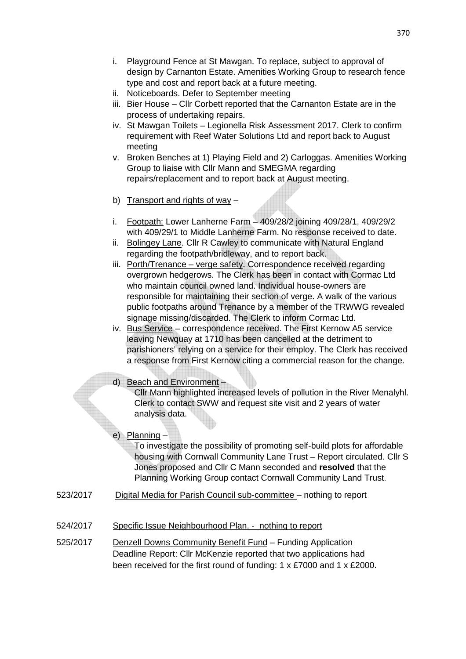- i. Playground Fence at St Mawgan. To replace, subject to approval of design by Carnanton Estate. Amenities Working Group to research fence type and cost and report back at a future meeting.
- ii. Noticeboards. Defer to September meeting
- iii. Bier House Cllr Corbett reported that the Carnanton Estate are in the process of undertaking repairs.
- iv. St Mawgan Toilets Legionella Risk Assessment 2017. Clerk to confirm requirement with Reef Water Solutions Ltd and report back to August meeting
- v. Broken Benches at 1) Playing Field and 2) Carloggas. Amenities Working Group to liaise with Cllr Mann and SMEGMA regarding repairs/replacement and to report back at August meeting.
- b) Transport and rights of way –
- i. Footpath: Lower Lanherne Farm 409/28/2 joining 409/28/1, 409/29/2 with 409/29/1 to Middle Lanherne Farm. No response received to date.
- ii. Bolingey Lane. Cllr R Cawley to communicate with Natural England regarding the footpath/bridleway, and to report back.
- iii. Porth/Trenance verge safety. Correspondence received regarding overgrown hedgerows. The Clerk has been in contact with Cormac Ltd who maintain council owned land. Individual house-owners are responsible for maintaining their section of verge. A walk of the various public footpaths around Trenance by a member of the TRWWG revealed signage missing/discarded. The Clerk to inform Cormac Ltd.
- iv. Bus Service correspondence received. The First Kernow A5 service leaving Newquay at 1710 has been cancelled at the detriment to parishioners' relying on a service for their employ. The Clerk has received a response from First Kernow citing a commercial reason for the change.

## d) Beach and Environment –

Cllr Mann highlighted increased levels of pollution in the River Menalyhl. Clerk to contact SWW and request site visit and 2 years of water analysis data.

# e) Planning –

To investigate the possibility of promoting self-build plots for affordable housing with Cornwall Community Lane Trust – Report circulated. Cllr S Jones proposed and Cllr C Mann seconded and **resolved** that the Planning Working Group contact Cornwall Community Land Trust.

- 523/2017 Digital Media for Parish Council sub-committee nothing to report
- 524/2017 Specific Issue Neighbourhood Plan. nothing to report
- 525/2017 Denzell Downs Community Benefit Fund Funding Application Deadline Report: Cllr McKenzie reported that two applications had been received for the first round of funding: 1 x £7000 and 1 x £2000.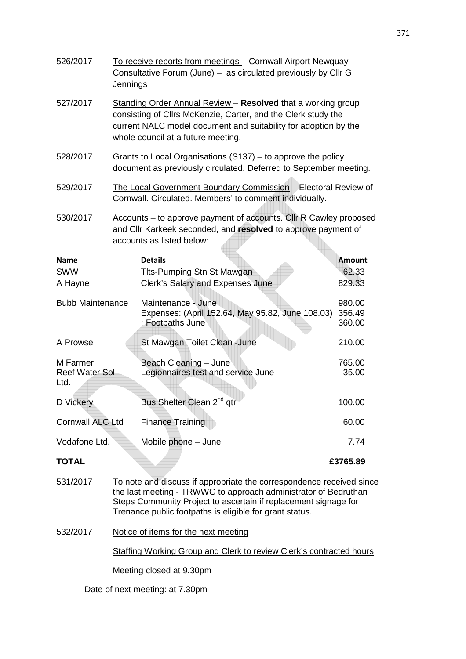| 526/2017                                                        | To receive reports from meetings - Cornwall Airport Newquay<br>Consultative Forum (June) - as circulated previously by Cllr G<br>Jennings                                                                                              |                                                         |               |  |
|-----------------------------------------------------------------|----------------------------------------------------------------------------------------------------------------------------------------------------------------------------------------------------------------------------------------|---------------------------------------------------------|---------------|--|
| 527/2017                                                        | Standing Order Annual Review - Resolved that a working group<br>consisting of Cllrs McKenzie, Carter, and the Clerk study the<br>current NALC model document and suitability for adoption by the<br>whole council at a future meeting. |                                                         |               |  |
| 528/2017                                                        | Grants to Local Organisations $(S137)$ – to approve the policy<br>document as previously circulated. Deferred to September meeting.                                                                                                    |                                                         |               |  |
| 529/2017                                                        | The Local Government Boundary Commission - Electoral Review of<br>Cornwall. Circulated. Members' to comment individually.                                                                                                              |                                                         |               |  |
| 530/2017                                                        | Accounts – to approve payment of accounts. Cllr R Cawley proposed<br>and Cllr Karkeek seconded, and resolved to approve payment of<br>accounts as listed below:                                                                        |                                                         |               |  |
| <b>Name</b>                                                     |                                                                                                                                                                                                                                        | <b>Details</b>                                          | <b>Amount</b> |  |
| <b>SWW</b>                                                      |                                                                                                                                                                                                                                        | Tits-Pumping Stn St Mawgan                              | 62.33         |  |
| A Hayne                                                         |                                                                                                                                                                                                                                        | Clerk's Salary and Expenses June                        | 829.33        |  |
|                                                                 |                                                                                                                                                                                                                                        |                                                         |               |  |
| <b>Bubb Maintenance</b>                                         |                                                                                                                                                                                                                                        | Maintenance - June                                      | 980.00        |  |
|                                                                 |                                                                                                                                                                                                                                        | Expenses: (April 152.64, May 95.82, June 108.03)        | 356.49        |  |
|                                                                 |                                                                                                                                                                                                                                        | : Footpaths June                                        | 360.00        |  |
| A Prowse                                                        |                                                                                                                                                                                                                                        | St Mawgan Toilet Clean - June                           | 210.00        |  |
| M Farmer                                                        |                                                                                                                                                                                                                                        | Beach Cleaning - June                                   | 765.00        |  |
| <b>Reef Water Sol</b>                                           |                                                                                                                                                                                                                                        | Legionnaires test and service June                      | 35.00         |  |
| Ltd.                                                            |                                                                                                                                                                                                                                        |                                                         |               |  |
|                                                                 |                                                                                                                                                                                                                                        |                                                         |               |  |
| D Vickery                                                       |                                                                                                                                                                                                                                        | Bus Shelter Clean 2 <sup>nd</sup> qtr                   | 100.00        |  |
| <b>Cornwall ALC Ltd</b>                                         |                                                                                                                                                                                                                                        | <b>Finance Training</b>                                 | 60.00         |  |
| Vodafone Ltd.                                                   |                                                                                                                                                                                                                                        | Mobile phone - June                                     | 7.74          |  |
| <b>TOTAL</b>                                                    |                                                                                                                                                                                                                                        |                                                         | £3765.89      |  |
| 531/2017                                                        | To note and discuss if appropriate the correspondence received since                                                                                                                                                                   |                                                         |               |  |
|                                                                 | the last meeting - TRWWG to approach administrator of Bedruthan                                                                                                                                                                        |                                                         |               |  |
| Steps Community Project to ascertain if replacement signage for |                                                                                                                                                                                                                                        |                                                         |               |  |
|                                                                 |                                                                                                                                                                                                                                        | Trenance public footpaths is eligible for grant status. |               |  |
| 532/2017                                                        | Notice of items for the next meeting                                                                                                                                                                                                   |                                                         |               |  |
|                                                                 | <b>Staffing Working Group and Clerk to review Clerk's contracted hours</b>                                                                                                                                                             |                                                         |               |  |
|                                                                 | Meeting closed at 9.30pm                                                                                                                                                                                                               |                                                         |               |  |
| Date of next meeting: at 7.30pm                                 |                                                                                                                                                                                                                                        |                                                         |               |  |